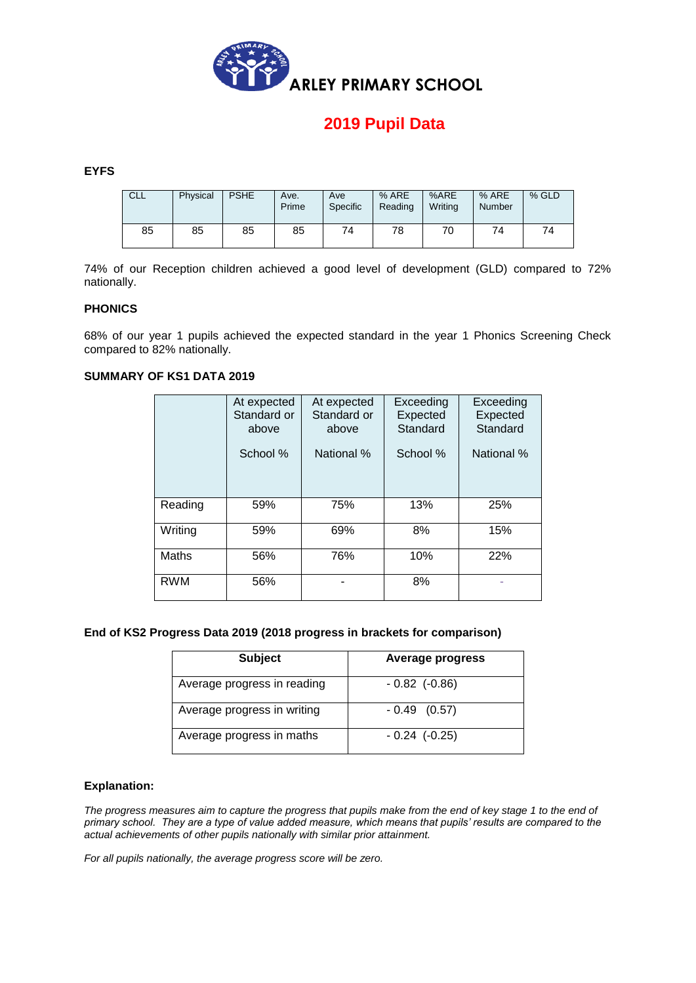

# **2019 Pupil Data**

### **EYFS**

| CLL | Physical | <b>PSHE</b> | Ave.<br>Prime | Ave<br>Specific | % ARE<br>Reading | %ARE<br>Writina | % ARE<br>Number | % GLD |
|-----|----------|-------------|---------------|-----------------|------------------|-----------------|-----------------|-------|
| 85  | 85       | 85          | 85            | 74              | 78               | 70              | 74              | 74    |

74% of our Reception children achieved a good level of development (GLD) compared to 72% nationally.

#### **PHONICS**

68% of our year 1 pupils achieved the expected standard in the year 1 Phonics Screening Check compared to 82% nationally.

### **SUMMARY OF KS1 DATA 2019**

|            | At expected<br>Standard or<br>above<br>School % | At expected<br>Standard or<br>above<br>National % | Exceeding<br>Expected<br>Standard<br>School % | Exceeding<br>Expected<br>Standard<br>National % |
|------------|-------------------------------------------------|---------------------------------------------------|-----------------------------------------------|-------------------------------------------------|
| Reading    | 59%                                             | 75%                                               | 13%                                           | 25%                                             |
| Writing    | 59%                                             | 69%                                               | 8%                                            | 15%                                             |
| Maths      | 56%                                             | 76%                                               | 10%                                           | 22%                                             |
| <b>RWM</b> | 56%                                             |                                                   | 8%                                            |                                                 |

#### **End of KS2 Progress Data 2019 (2018 progress in brackets for comparison)**

| <b>Subject</b>              | Average progress    |
|-----------------------------|---------------------|
| Average progress in reading | $-0.82$ ( $-0.86$ ) |
| Average progress in writing | $-0.49(0.57)$       |
| Average progress in maths   | $-0.24$ ( $-0.25$ ) |

#### **Explanation:**

*The progress measures aim to capture the progress that pupils make from the end of key stage 1 to the end of primary school. They are a type of value added measure, which means that pupils' results are compared to the actual achievements of other pupils nationally with similar prior attainment.* 

*For all pupils nationally, the average progress score will be zero.*